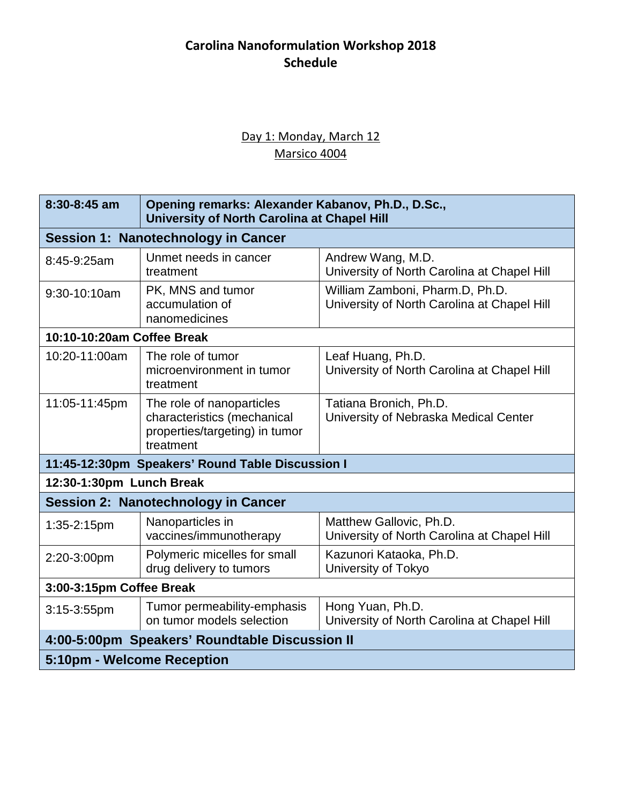# **Carolina Nanoformulation Workshop 2018 Schedule**

### Day 1: Monday, March 12 Marsico 4004

| $8:30 - 8:45$ am                                 | Opening remarks: Alexander Kabanov, Ph.D., D.Sc.,<br>University of North Carolina at Chapel Hill        |                                                                                |  |  |
|--------------------------------------------------|---------------------------------------------------------------------------------------------------------|--------------------------------------------------------------------------------|--|--|
| <b>Session 1: Nanotechnology in Cancer</b>       |                                                                                                         |                                                                                |  |  |
| 8:45-9:25am                                      | Unmet needs in cancer<br>treatment                                                                      | Andrew Wang, M.D.<br>University of North Carolina at Chapel Hill               |  |  |
| 9:30-10:10am                                     | PK, MNS and tumor<br>accumulation of<br>nanomedicines                                                   | William Zamboni, Pharm.D, Ph.D.<br>University of North Carolina at Chapel Hill |  |  |
| 10:10-10:20am Coffee Break                       |                                                                                                         |                                                                                |  |  |
| 10:20-11:00am                                    | The role of tumor<br>microenvironment in tumor<br>treatment                                             | Leaf Huang, Ph.D.<br>University of North Carolina at Chapel Hill               |  |  |
| 11:05-11:45pm                                    | The role of nanoparticles<br>characteristics (mechanical<br>properties/targeting) in tumor<br>treatment | Tatiana Bronich, Ph.D.<br>University of Nebraska Medical Center                |  |  |
| 11:45-12:30pm Speakers' Round Table Discussion I |                                                                                                         |                                                                                |  |  |
| 12:30-1:30pm Lunch Break                         |                                                                                                         |                                                                                |  |  |
| <b>Session 2: Nanotechnology in Cancer</b>       |                                                                                                         |                                                                                |  |  |
| 1:35-2:15pm                                      | Nanoparticles in<br>vaccines/immunotherapy                                                              | Matthew Gallovic, Ph.D.<br>University of North Carolina at Chapel Hill         |  |  |
| 2:20-3:00pm                                      | Polymeric micelles for small<br>drug delivery to tumors                                                 | Kazunori Kataoka, Ph.D.<br>University of Tokyo                                 |  |  |
| 3:00-3:15pm Coffee Break                         |                                                                                                         |                                                                                |  |  |
| 3:15-3:55pm                                      | Tumor permeability-emphasis<br>on tumor models selection                                                | Hong Yuan, Ph.D.<br>University of North Carolina at Chapel Hill                |  |  |
| 4:00-5:00pm Speakers' Roundtable Discussion II   |                                                                                                         |                                                                                |  |  |
| 5:10pm - Welcome Reception                       |                                                                                                         |                                                                                |  |  |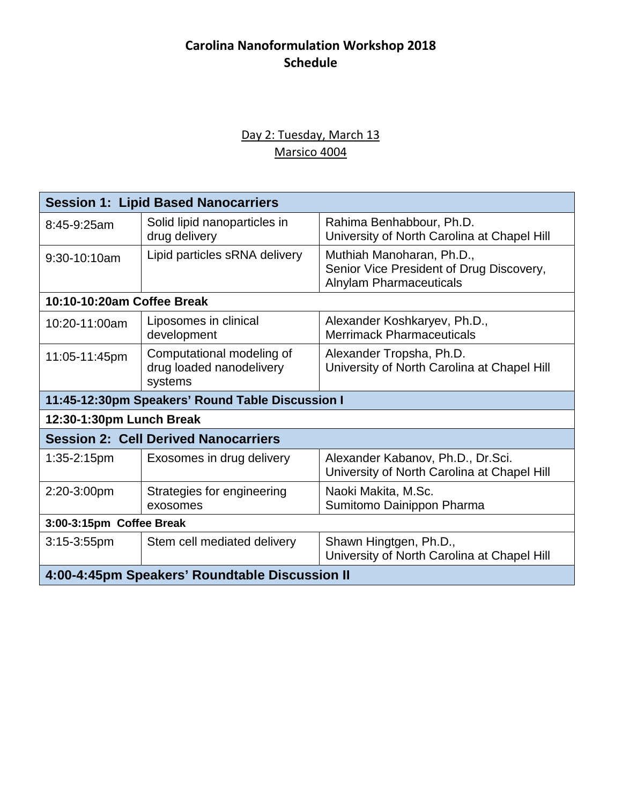# **Carolina Nanoformulation Workshop 2018 Schedule**

#### Day 2: Tuesday, March 13 Marsico 4004

| <b>Session 1: Lipid Based Nanocarriers</b>       |                                                                  |                                                                                                         |  |  |
|--------------------------------------------------|------------------------------------------------------------------|---------------------------------------------------------------------------------------------------------|--|--|
| 8:45-9:25am                                      | Solid lipid nanoparticles in<br>drug delivery                    | Rahima Benhabbour, Ph.D.<br>University of North Carolina at Chapel Hill                                 |  |  |
| 9:30-10:10am                                     | Lipid particles sRNA delivery                                    | Muthiah Manoharan, Ph.D.,<br>Senior Vice President of Drug Discovery,<br><b>Alnylam Pharmaceuticals</b> |  |  |
| 10:10-10:20am Coffee Break                       |                                                                  |                                                                                                         |  |  |
| 10:20-11:00am                                    | Liposomes in clinical<br>development                             | Alexander Koshkaryev, Ph.D.,<br><b>Merrimack Pharmaceuticals</b>                                        |  |  |
| 11:05-11:45pm                                    | Computational modeling of<br>drug loaded nanodelivery<br>systems | Alexander Tropsha, Ph.D.<br>University of North Carolina at Chapel Hill                                 |  |  |
| 11:45-12:30pm Speakers' Round Table Discussion I |                                                                  |                                                                                                         |  |  |
| 12:30-1:30pm Lunch Break                         |                                                                  |                                                                                                         |  |  |
| <b>Session 2: Cell Derived Nanocarriers</b>      |                                                                  |                                                                                                         |  |  |
| $1:35-2:15$ pm                                   | Exosomes in drug delivery                                        | Alexander Kabanov, Ph.D., Dr.Sci.<br>University of North Carolina at Chapel Hill                        |  |  |
| 2:20-3:00pm                                      | Strategies for engineering<br>exosomes                           | Naoki Makita, M.Sc.<br>Sumitomo Dainippon Pharma                                                        |  |  |
| 3:00-3:15pm Coffee Break                         |                                                                  |                                                                                                         |  |  |
| $3:15-3:55$ pm                                   | Stem cell mediated delivery                                      | Shawn Hingtgen, Ph.D.,<br>University of North Carolina at Chapel Hill                                   |  |  |
| 4:00-4:45pm Speakers' Roundtable Discussion II   |                                                                  |                                                                                                         |  |  |